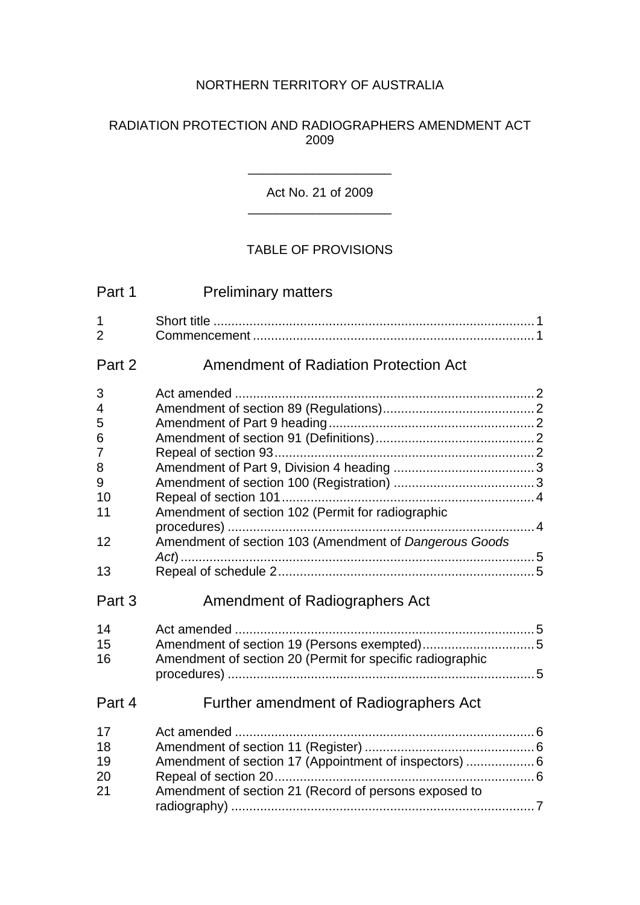## NORTHERN TERRITORY OF AUSTRALIA

#### RADIATION PROTECTION AND RADIOGRAPHERS AMENDMENT ACT

#### Act No. 21 of 2009 \_\_\_\_\_\_\_\_\_\_\_\_\_\_\_\_\_\_\_\_

\_\_\_\_\_\_\_\_\_\_\_\_\_\_\_\_\_\_\_\_

## TABLE OF PROVISIONS

| Part 1                  | <b>Preliminary matters</b>                                |  |
|-------------------------|-----------------------------------------------------------|--|
| 1<br>$\overline{2}$     |                                                           |  |
| Part 2                  | <b>Amendment of Radiation Protection Act</b>              |  |
| 3                       |                                                           |  |
| $\overline{\mathbf{4}}$ |                                                           |  |
| 5                       |                                                           |  |
| 6                       |                                                           |  |
| $\overline{7}$          |                                                           |  |
| 8                       |                                                           |  |
| 9<br>10                 |                                                           |  |
| 11                      | Amendment of section 102 (Permit for radiographic         |  |
|                         |                                                           |  |
| 12                      | Amendment of section 103 (Amendment of Dangerous Goods    |  |
| 13                      |                                                           |  |
| Part 3                  | Amendment of Radiographers Act                            |  |
| 14                      |                                                           |  |
| 15                      | Amendment of section 19 (Persons exempted)5               |  |
| 16                      | Amendment of section 20 (Permit for specific radiographic |  |
|                         |                                                           |  |
| Part 4                  | Further amendment of Radiographers Act                    |  |
| 17                      |                                                           |  |
| 18                      |                                                           |  |
| 19                      | Amendment of section 17 (Appointment of inspectors)  6    |  |
| 20                      |                                                           |  |
| 21                      | Amendment of section 21 (Record of persons exposed to     |  |
|                         |                                                           |  |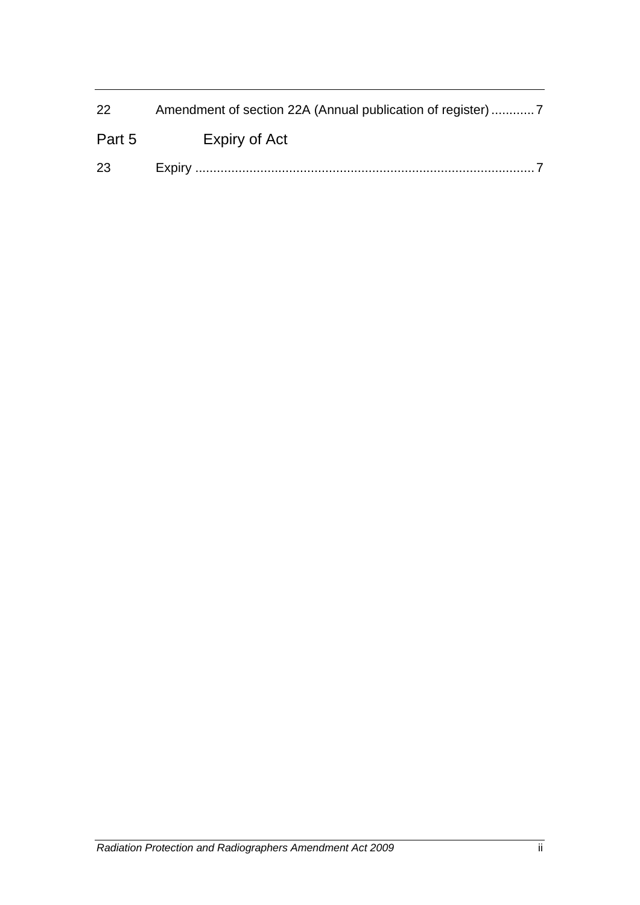| 22     |               |
|--------|---------------|
| Part 5 | Expiry of Act |
| 23     |               |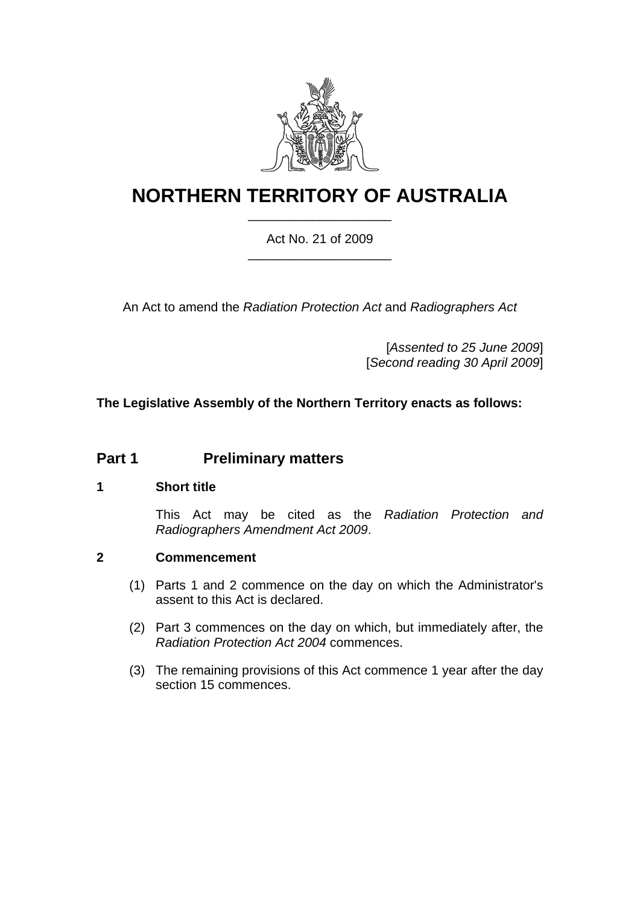

# **NORTHERN TERRITORY OF AUSTRALIA** \_\_\_\_\_\_\_\_\_\_\_\_\_\_\_\_\_\_\_\_

#### Act No. 21 of 2009 \_\_\_\_\_\_\_\_\_\_\_\_\_\_\_\_\_\_\_\_

An Act to amend the *Radiation Protection Act* and *Radiographers Act*

[*Assented to 25 June 2009*] [*Second reading 30 April 2009*]

## **The Legislative Assembly of the Northern Territory enacts as follows:**

## **Part 1** Preliminary matters

#### <span id="page-2-0"></span>**1 Short title**

This Act may be cited as the *Radiation Protection and Radiographers Amendment Act 2009*.

## <span id="page-2-1"></span>**2 Commencement**

- (1) Parts 1 and 2 commence on the day on which the Administrator's assent to this Act is declared.
- (2) Part 3 commences on the day on which, but immediately after, the *Radiation Protection Act 2004* commences.
- (3) The remaining provisions of this Act commence 1 year after the day section 15 commences.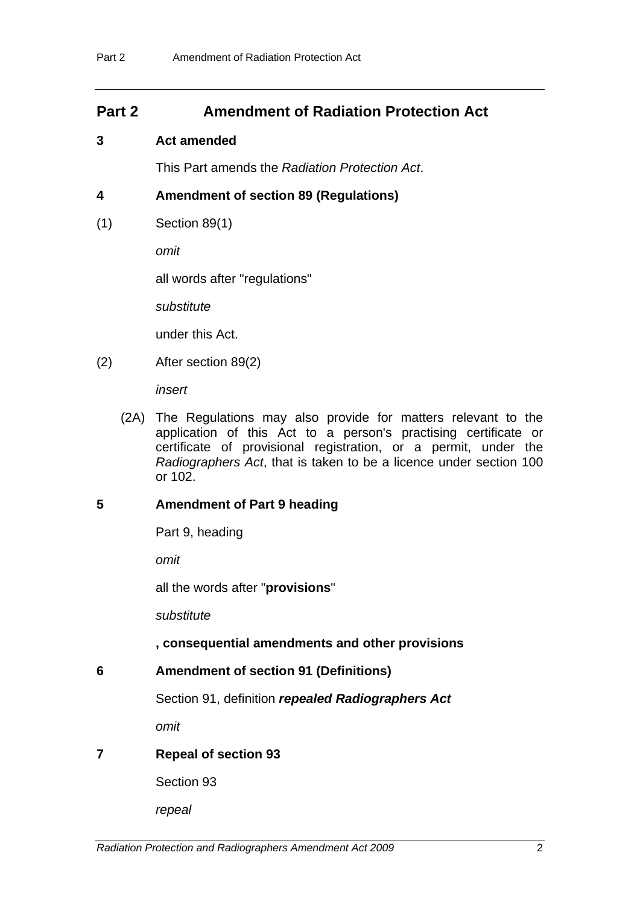## **Part 2 Amendment of Radiation Protection Act**

#### <span id="page-3-0"></span>**3 Act amended**

This Part amends the *Radiation Protection Act*.

## <span id="page-3-1"></span>**4 Amendment of section 89 (Regulations)**

(1) Section 89(1)

*omit* 

all words after "regulations"

*substitute* 

under this Act.

(2) After section 89(2)

*insert* 

 (2A) The Regulations may also provide for matters relevant to the application of this Act to a person's practising certificate or certificate of provisional registration, or a permit, under the *Radiographers Act*, that is taken to be a licence under section 100 or 102.

#### <span id="page-3-2"></span>**5 Amendment of Part 9 heading**

Part 9, heading

*omit*

all the words after "**provisions**"

*substitute* 

#### **, consequential amendments and other provisions**

<span id="page-3-3"></span>**6 Amendment of section 91 (Definitions)** 

Section 91, definition *repealed Radiographers Act*

*omit* 

## <span id="page-3-4"></span>**7 Repeal of section 93**

Section 93

*repeal*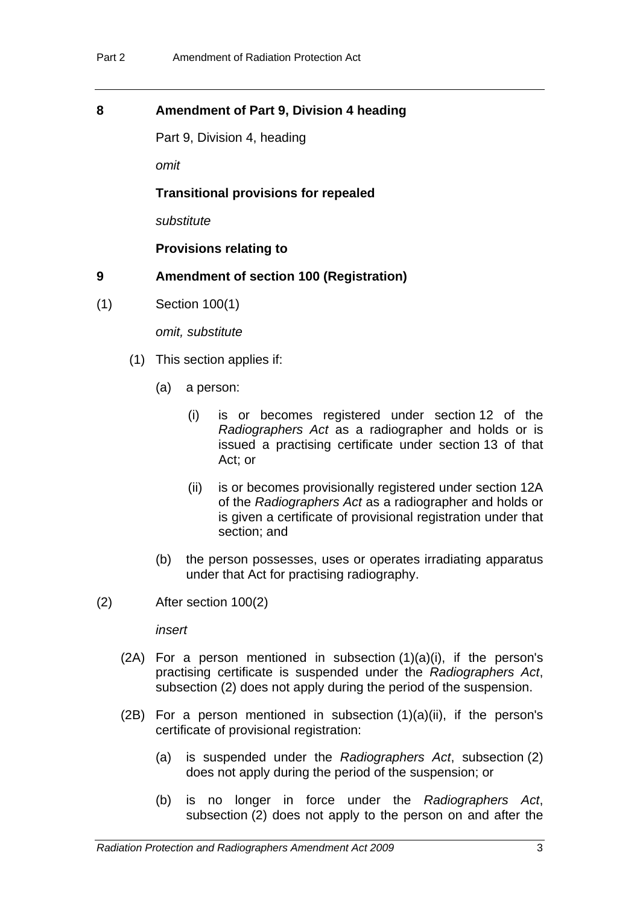#### <span id="page-4-0"></span>**8 Amendment of Part 9, Division 4 heading**

Part 9, Division 4, heading

*omit* 

#### **Transitional provisions for repealed**

*substitute* 

**Provisions relating to** 

#### <span id="page-4-1"></span>**9 Amendment of section 100 (Registration)**

(1) Section 100(1)

*omit, substitute* 

- (1) This section applies if:
	- (a) a person:
		- (i) is or becomes registered under section 12 of the *Radiographers Act* as a radiographer and holds or is issued a practising certificate under section 13 of that Act; or
		- (ii) is or becomes provisionally registered under section 12A of the *Radiographers Act* as a radiographer and holds or is given a certificate of provisional registration under that section; and
	- (b) the person possesses, uses or operates irradiating apparatus under that Act for practising radiography.
- (2) After section 100(2)

*insert* 

- $(2A)$  For a person mentioned in subsection  $(1)(a)(i)$ , if the person's practising certificate is suspended under the *Radiographers Act*, subsection (2) does not apply during the period of the suspension.
- (2B) For a person mentioned in subsection  $(1)(a)(ii)$ , if the person's certificate of provisional registration:
	- (a) is suspended under the *Radiographers Act*, subsection (2) does not apply during the period of the suspension; or
	- (b) is no longer in force under the *Radiographers Act*, subsection (2) does not apply to the person on and after the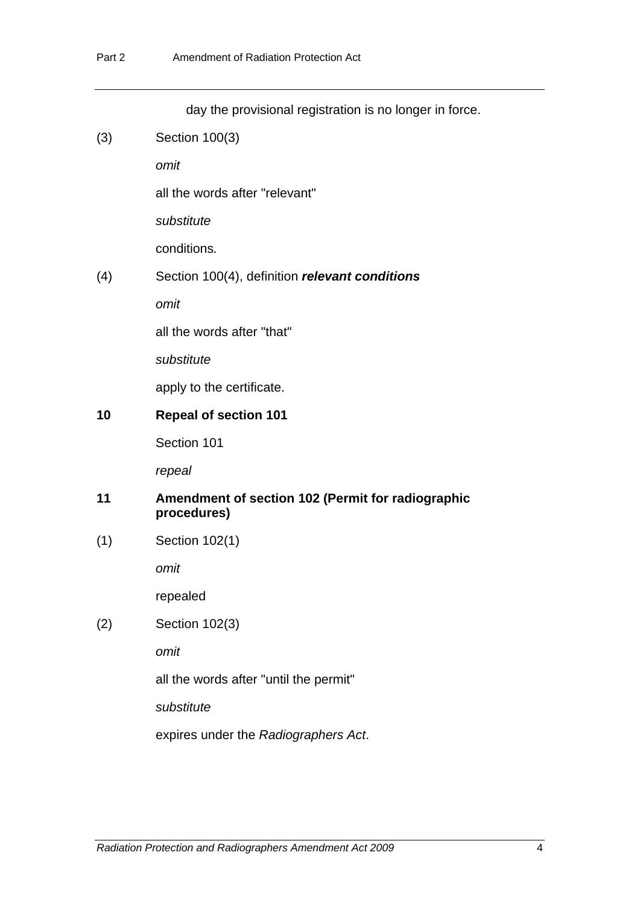<span id="page-5-1"></span><span id="page-5-0"></span>

|     | day the provisional registration is no longer in force.          |
|-----|------------------------------------------------------------------|
| (3) | Section 100(3)                                                   |
|     | omit                                                             |
|     | all the words after "relevant"                                   |
|     | substitute                                                       |
|     | conditions.                                                      |
| (4) | Section 100(4), definition relevant conditions                   |
|     | omit                                                             |
|     | all the words after "that"                                       |
|     | substitute                                                       |
|     | apply to the certificate.                                        |
| 10  | <b>Repeal of section 101</b>                                     |
|     | Section 101                                                      |
|     | repeal                                                           |
| 11  | Amendment of section 102 (Permit for radiographic<br>procedures) |
| (1) | Section 102(1)                                                   |
|     | omit                                                             |
|     | repealed                                                         |
| (2) | Section 102(3)                                                   |
|     | omit                                                             |
|     | all the words after "until the permit"                           |
|     | substitute                                                       |
|     | expires under the Radiographers Act.                             |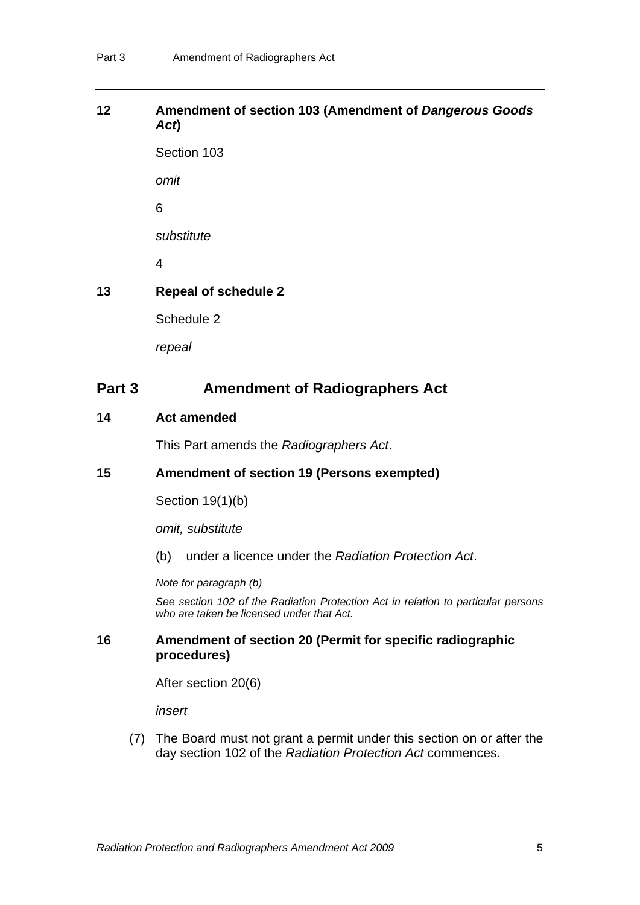## <span id="page-6-0"></span>**12 Amendment of section 103 (Amendment of** *Dangerous Goods Act***)**

Section 103

*omit* 

6

*substitute* 

4

## <span id="page-6-1"></span>**13 Repeal of schedule 2**

Schedule 2

*repeal* 

# **Part 3** Amendment of Radiographers Act

#### <span id="page-6-2"></span>**14 Act amended**

This Part amends the *Radiographers Act*.

## <span id="page-6-3"></span>**15 Amendment of section 19 (Persons exempted)**

Section 19(1)(b)

*omit, substitute* 

(b) under a licence under the *Radiation Protection Act*.

*Note for paragraph (b)* 

*See section 102 of the Radiation Protection Act in relation to particular persons who are taken be licensed under that Act.* 

#### <span id="page-6-4"></span>**16 Amendment of section 20 (Permit for specific radiographic procedures)**

After section 20(6)

*insert* 

 (7) The Board must not grant a permit under this section on or after the day section 102 of the *Radiation Protection Act* commences.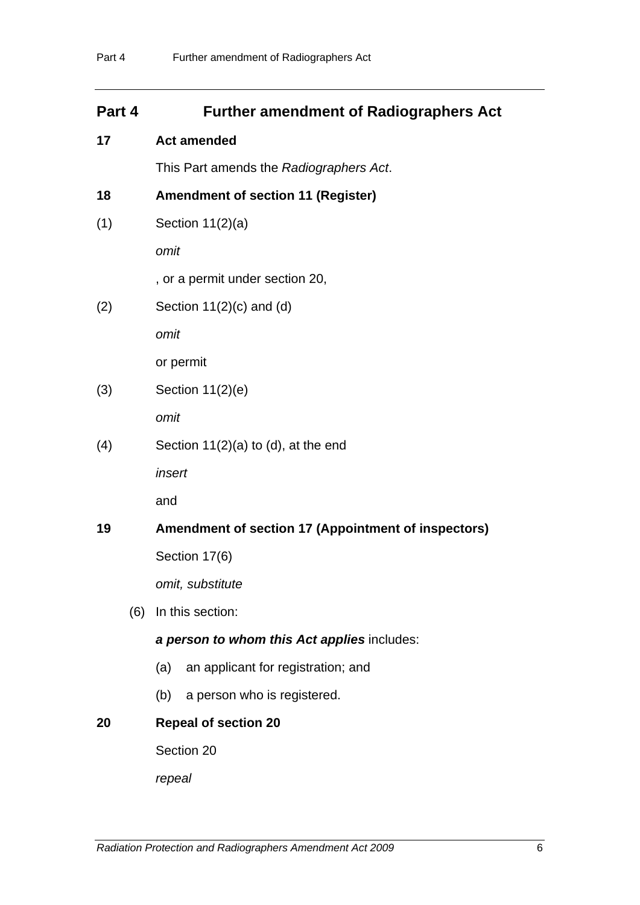# **Part 4 Further amendment of Radiographers Act**

## <span id="page-7-0"></span>**17 Act amended**

This Part amends the *Radiographers Act*.

## <span id="page-7-1"></span>**18 Amendment of section 11 (Register)**

(1) Section 11(2)(a)

*omit* 

, or a permit under section 20,

 $(2)$  Section 11 $(2)(c)$  and  $(d)$ 

*omit* 

or permit

(3) Section 11(2)(e)

*omit* 

(4) Section 11(2)(a) to (d), at the end

*insert*

and

## <span id="page-7-2"></span>**19 Amendment of section 17 (Appointment of inspectors)**

Section 17(6)

*omit, substitute* 

(6) In this section:

## *a person to whom this Act applies* includes:

- (a) an applicant for registration; and
- (b) a person who is registered.

## <span id="page-7-3"></span>**20 Repeal of section 20**

Section 20

*repeal*